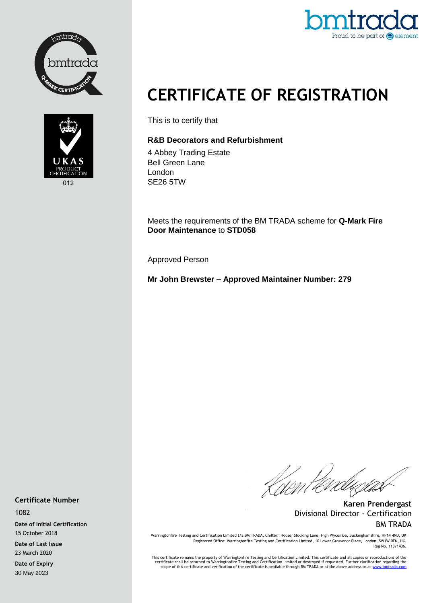





## **CERTIFICATE OF REGISTRATION**

This is to certify that

## **R&B Decorators and Refurbishment**

4 Abbey Trading Estate Bell Green Lane London SE26 5TW

Meets the requirements of the BM TRADA scheme for **Q-Mark Fire Door Maintenance** to **STD058**

Approved Person

**Mr John Brewster – Approved Maintainer Number: 279**

Kisen Per

**Karen Prendergast** Divisional Director - Certification BM TRADA

Warringtonfire Testing and Certification Limited t/a BM TRADA, Chiltern House, Stocking Lane, High Wycombe, Buckinghamshire, HP14 4ND, UK Registered Office: Warringtonfire Testing and Certification Limited, 10 Lower Grosvenor Place, London, SW1W 0EN, UK. Reg No. 11371436.

This certificate remains the property of Warringtonfire Testing and Certification Limited. This certificate and all copies or reproductions of the<br>Certificate shall be returned to Warringtonfire Testing and Certification L

**Certificate Number**

1082

**Date of Initial Certification** 15 October 2018

**Date of Last Issue** 23 March 2020

**Date of Expiry** 30 May 2023